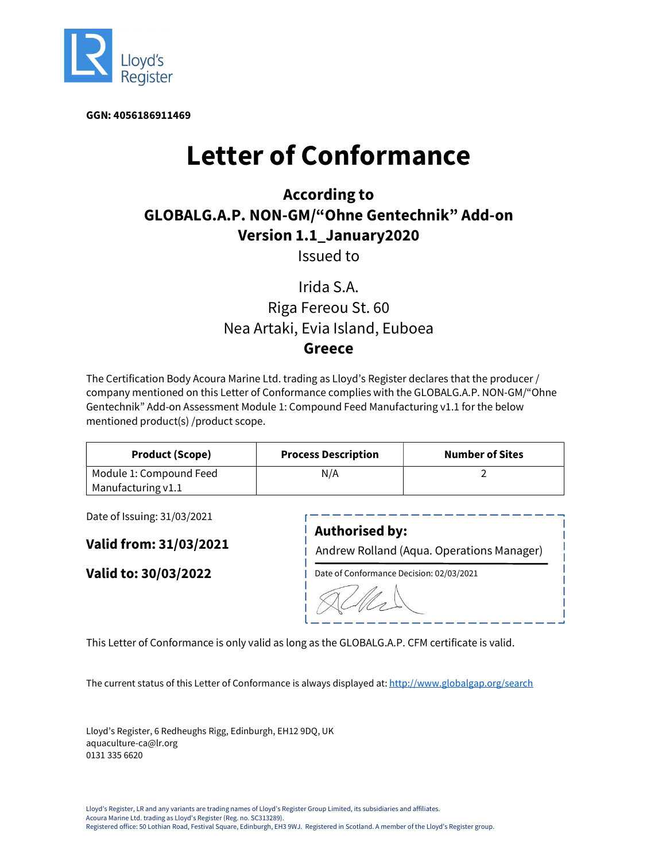

GGN: 4056186911469

# Letter of Conformance

## According to GLOBALG.A.P. NON-GM/"Ohne Gentechnik" Add-on Version 1.1\_January2020

Issued to

### Irida S.A.

#### Riga Fereou St. 60 Nea Artaki, Evia Island, Euboea Greece

The Certification Body Acoura Marine Ltd. trading as Lloyd's Register declares that the producer / company mentioned on this Letter of Conformance complies with the GLOBALG.A.P. NON-GM/"Ohne Gentechnik" Add-on Assessment Module 1: Compound Feed Manufacturing v1.1 for the below mentioned product(s) /product scope.

| <b>Product (Scope)</b>  | <b>Process Description</b> | Number of Sites |
|-------------------------|----------------------------|-----------------|
| Module 1: Compound Feed | N/A                        |                 |
| Manufacturing $v1.1$    |                            |                 |

Date of Issuing: 31/03/2021

Valid from: 31/03/2021

Valid to: 30/03/2022

| <b>Authorised by:</b><br>Andrew Rolland (Aqua. Operations Manager) |  |
|--------------------------------------------------------------------|--|
| Date of Conformance Decision: 02/03/2021                           |  |
|                                                                    |  |

This Letter of Conformance is only valid as long as the GLOBALG.A.P. CFM certificate is valid.

The current status of this Letter of Conformance is always displayed at: http://www.globalgap.org/search

Lloyd's Register, 6 Redheughs Rigg, Edinburgh, EH12 9DQ, UK aquaculture-ca@lr.org 0131 335 6620